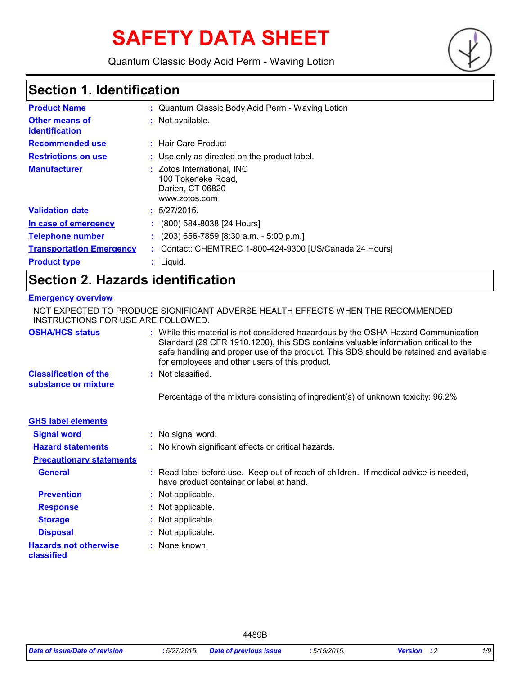# **SAFETY DATA SHEET**

Quantum Classic Body Acid Perm - Waving Lotion



### **Section 1. Identification**

| <b>Product Name</b>                     | : Quantum Classic Body Acid Perm - Waving Lotion                                      |
|-----------------------------------------|---------------------------------------------------------------------------------------|
| <b>Other means of</b><br>identification | $:$ Not available.                                                                    |
| <b>Recommended use</b>                  | : Hair Care Product                                                                   |
| <b>Restrictions on use</b>              | : Use only as directed on the product label.                                          |
| <b>Manufacturer</b>                     | : Zotos International, INC<br>100 Tokeneke Road,<br>Darien, CT 06820<br>www.zotos.com |
| <b>Validation date</b>                  | : 5/27/2015.                                                                          |
| In case of emergency                    | (800) 584-8038 [24 Hours]                                                             |
| <b>Telephone number</b>                 | $(203)$ 656-7859 [8:30 a.m. - 5:00 p.m.]                                              |
| <b>Transportation Emergency</b>         | Contact: CHEMTREC 1-800-424-9300 [US/Canada 24 Hours]                                 |
| <b>Product type</b>                     | Liquid.                                                                               |

### **Section 2. Hazards identification**

#### **Emergency overview**

| NOT EXPECTED TO PRODUCE SIGNIFICANT ADVERSE HEALTH EFFECTS WHEN THE RECOMMENDED<br>INSTRUCTIONS FOR USE ARE FOLLOWED. |  |                                                                                                                                                                                                                                                                                                                       |
|-----------------------------------------------------------------------------------------------------------------------|--|-----------------------------------------------------------------------------------------------------------------------------------------------------------------------------------------------------------------------------------------------------------------------------------------------------------------------|
| <b>OSHA/HCS status</b>                                                                                                |  | : While this material is not considered hazardous by the OSHA Hazard Communication<br>Standard (29 CFR 1910.1200), this SDS contains valuable information critical to the<br>safe handling and proper use of the product. This SDS should be retained and available<br>for employees and other users of this product. |
| <b>Classification of the</b><br>substance or mixture                                                                  |  | : Not classified.                                                                                                                                                                                                                                                                                                     |
|                                                                                                                       |  | Percentage of the mixture consisting of ingredient(s) of unknown toxicity: 96.2%                                                                                                                                                                                                                                      |
| <b>GHS label elements</b>                                                                                             |  |                                                                                                                                                                                                                                                                                                                       |
| <b>Signal word</b>                                                                                                    |  | : No signal word.                                                                                                                                                                                                                                                                                                     |
| <b>Hazard statements</b>                                                                                              |  | : No known significant effects or critical hazards.                                                                                                                                                                                                                                                                   |
| <b>Precautionary statements</b>                                                                                       |  |                                                                                                                                                                                                                                                                                                                       |
| <b>General</b>                                                                                                        |  | : Read label before use. Keep out of reach of children. If medical advice is needed,<br>have product container or label at hand.                                                                                                                                                                                      |
| <b>Prevention</b>                                                                                                     |  | : Not applicable.                                                                                                                                                                                                                                                                                                     |
| <b>Response</b>                                                                                                       |  | : Not applicable.                                                                                                                                                                                                                                                                                                     |
| <b>Storage</b>                                                                                                        |  | : Not applicable.                                                                                                                                                                                                                                                                                                     |
| <b>Disposal</b>                                                                                                       |  | : Not applicable.                                                                                                                                                                                                                                                                                                     |
| <b>Hazards not otherwise</b><br>classified                                                                            |  | : None known.                                                                                                                                                                                                                                                                                                         |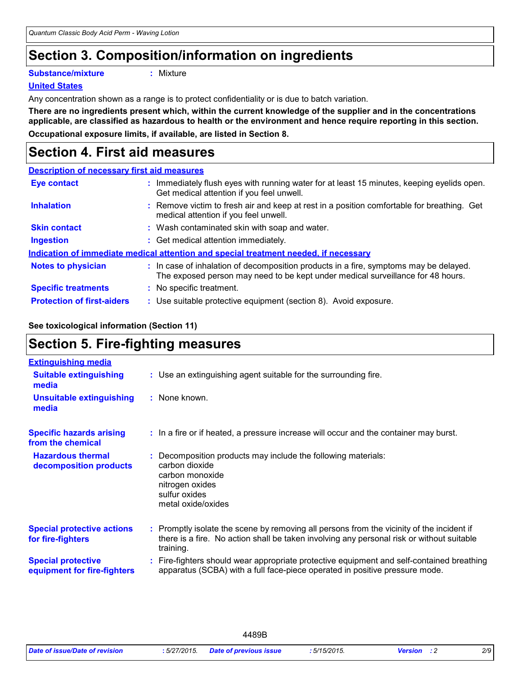### **Section 3. Composition/information on ingredients**

**Substance/mixture :**

: Mixture

#### **United States**

Any concentration shown as a range is to protect confidentiality or is due to batch variation.

**There are no ingredients present which, within the current knowledge of the supplier and in the concentrations applicable, are classified as hazardous to health or the environment and hence require reporting in this section. Occupational exposure limits, if available, are listed in Section 8.**

### **Section 4. First aid measures**

### **Description of necessary first aid measures Eye contact** The Muslim equation of the Hunning water for at least 15 minutes, keeping eyelids open.

|                                   | Get medical attention if you feel unwell.                                                                                                                                |
|-----------------------------------|--------------------------------------------------------------------------------------------------------------------------------------------------------------------------|
| <b>Inhalation</b>                 | : Remove victim to fresh air and keep at rest in a position comfortable for breathing. Get<br>medical attention if you feel unwell.                                      |
| <b>Skin contact</b>               | : Wash contaminated skin with soap and water.                                                                                                                            |
| <b>Ingestion</b>                  | : Get medical attention immediately.                                                                                                                                     |
|                                   | Indication of immediate medical attention and special treatment needed, if necessary                                                                                     |
| <b>Notes to physician</b>         | : In case of inhalation of decomposition products in a fire, symptoms may be delayed.<br>The exposed person may need to be kept under medical surveillance for 48 hours. |
| <b>Specific treatments</b>        | : No specific treatment.                                                                                                                                                 |
| <b>Protection of first-aiders</b> | : Use suitable protective equipment (section 8). Avoid exposure.                                                                                                         |

#### **See toxicological information (Section 11)**

### **Section 5. Fire-fighting measures**

| <b>Extinguishing media</b>                               |                                                                                                                                                                                                     |
|----------------------------------------------------------|-----------------------------------------------------------------------------------------------------------------------------------------------------------------------------------------------------|
| <b>Suitable extinguishing</b><br>media                   | : Use an extinguishing agent suitable for the surrounding fire.                                                                                                                                     |
| <b>Unsuitable extinguishing</b><br>media                 | : None known.                                                                                                                                                                                       |
| <b>Specific hazards arising</b><br>from the chemical     | : In a fire or if heated, a pressure increase will occur and the container may burst.                                                                                                               |
| <b>Hazardous thermal</b><br>decomposition products       | Decomposition products may include the following materials:<br>carbon dioxide<br>carbon monoxide<br>nitrogen oxides<br>sulfur oxides<br>metal oxide/oxides                                          |
| <b>Special protective actions</b><br>for fire-fighters   | : Promptly isolate the scene by removing all persons from the vicinity of the incident if<br>there is a fire. No action shall be taken involving any personal risk or without suitable<br>training. |
| <b>Special protective</b><br>equipment for fire-fighters | Fire-fighters should wear appropriate protective equipment and self-contained breathing<br>apparatus (SCBA) with a full face-piece operated in positive pressure mode.                              |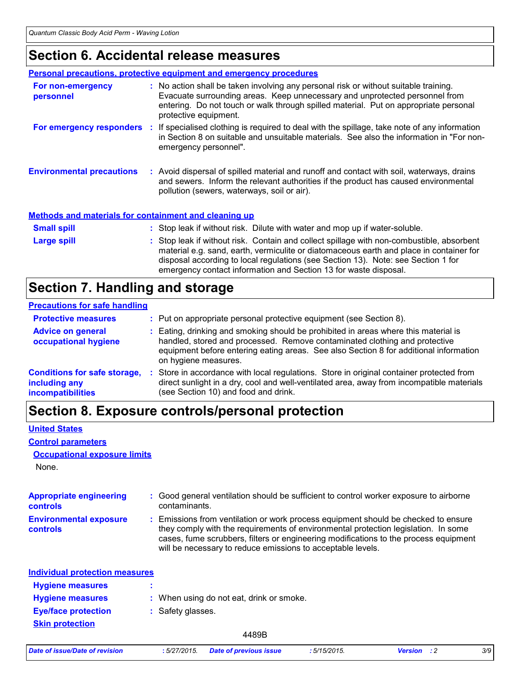### **Section 6. Accidental release measures**

|                                                              | <b>Personal precautions, protective equipment and emergency procedures</b>                                                                                                                                                                                                                                                                    |
|--------------------------------------------------------------|-----------------------------------------------------------------------------------------------------------------------------------------------------------------------------------------------------------------------------------------------------------------------------------------------------------------------------------------------|
| For non-emergency<br>personnel                               | : No action shall be taken involving any personal risk or without suitable training.<br>Evacuate surrounding areas. Keep unnecessary and unprotected personnel from<br>entering. Do not touch or walk through spilled material. Put on appropriate personal<br>protective equipment.                                                          |
|                                                              | For emergency responders : If specialised clothing is required to deal with the spillage, take note of any information<br>in Section 8 on suitable and unsuitable materials. See also the information in "For non-<br>emergency personnel".                                                                                                   |
| <b>Environmental precautions</b>                             | : Avoid dispersal of spilled material and runoff and contact with soil, waterways, drains<br>and sewers. Inform the relevant authorities if the product has caused environmental<br>pollution (sewers, waterways, soil or air).                                                                                                               |
| <b>Methods and materials for containment and cleaning up</b> |                                                                                                                                                                                                                                                                                                                                               |
| <b>Small spill</b>                                           | : Stop leak if without risk. Dilute with water and mop up if water-soluble.                                                                                                                                                                                                                                                                   |
| Large spill                                                  | : Stop leak if without risk. Contain and collect spillage with non-combustible, absorbent<br>material e.g. sand, earth, vermiculite or diatomaceous earth and place in container for<br>disposal according to local regulations (see Section 13). Note: see Section 1 for<br>emergency contact information and Section 13 for waste disposal. |

## **Section 7. Handling and storage**

#### **Precautions for safe handling**

| <b>Protective measures</b>                                                       | : Put on appropriate personal protective equipment (see Section 8).                                                                                                                                                                                                                |
|----------------------------------------------------------------------------------|------------------------------------------------------------------------------------------------------------------------------------------------------------------------------------------------------------------------------------------------------------------------------------|
| <b>Advice on general</b><br>occupational hygiene                                 | : Eating, drinking and smoking should be prohibited in areas where this material is<br>handled, stored and processed. Remove contaminated clothing and protective<br>equipment before entering eating areas. See also Section 8 for additional information<br>on hygiene measures. |
| <b>Conditions for safe storage,</b><br>including any<br><b>incompatibilities</b> | Store in accordance with local regulations. Store in original container protected from<br>direct sunlight in a dry, cool and well-ventilated area, away from incompatible materials<br>(see Section 10) and food and drink.                                                        |

### **Section 8. Exposure controls/personal protection**

#### **United States**

#### **Control parameters**

#### **Occupational exposure limits**

None.

| <b>Appropriate engineering</b><br><b>controls</b> | : Good general ventilation should be sufficient to control worker exposure to airborne<br>contaminants.                                                                                                                                                                                                                         |
|---------------------------------------------------|---------------------------------------------------------------------------------------------------------------------------------------------------------------------------------------------------------------------------------------------------------------------------------------------------------------------------------|
| <b>Environmental exposure</b><br>controls         | : Emissions from ventilation or work process equipment should be checked to ensure<br>they comply with the requirements of environmental protection legislation. In some<br>cases, fume scrubbers, filters or engineering modifications to the process equipment<br>will be necessary to reduce emissions to acceptable levels. |
| <b>Individual protection measures</b>             |                                                                                                                                                                                                                                                                                                                                 |
| <b>Hygiene measures</b>                           |                                                                                                                                                                                                                                                                                                                                 |
| <b>Hygiene measures</b>                           | : When using do not eat, drink or smoke.                                                                                                                                                                                                                                                                                        |
| <b>Eye/face protection</b>                        | : Safety glasses.                                                                                                                                                                                                                                                                                                               |
| <b>Skin protection</b>                            |                                                                                                                                                                                                                                                                                                                                 |

|  |  | Date of issue/Date of revision |
|--|--|--------------------------------|
|  |  |                                |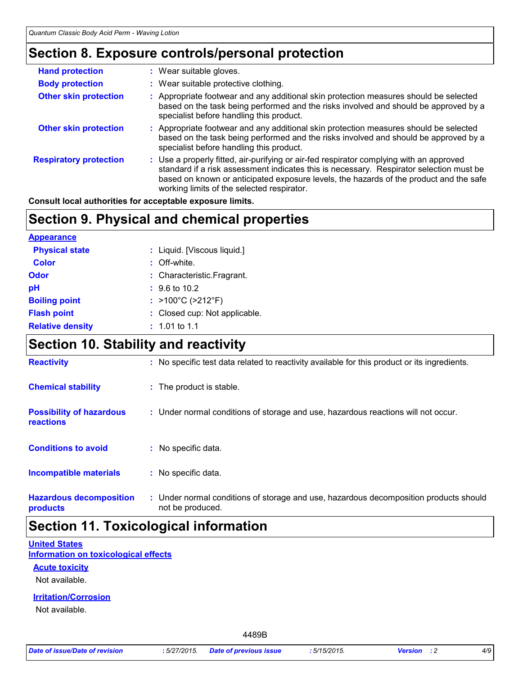### **Section 8. Exposure controls/personal protection**

| <b>Hand protection</b>        | : Wear suitable gloves.                                                                                                                                                                                                                                                                                                    |
|-------------------------------|----------------------------------------------------------------------------------------------------------------------------------------------------------------------------------------------------------------------------------------------------------------------------------------------------------------------------|
| <b>Body protection</b>        | : Wear suitable protective clothing.                                                                                                                                                                                                                                                                                       |
| <b>Other skin protection</b>  | : Appropriate footwear and any additional skin protection measures should be selected<br>based on the task being performed and the risks involved and should be approved by a<br>specialist before handling this product.                                                                                                  |
| <b>Other skin protection</b>  | : Appropriate footwear and any additional skin protection measures should be selected<br>based on the task being performed and the risks involved and should be approved by a<br>specialist before handling this product.                                                                                                  |
| <b>Respiratory protection</b> | : Use a properly fitted, air-purifying or air-fed respirator complying with an approved<br>standard if a risk assessment indicates this is necessary. Respirator selection must be<br>based on known or anticipated exposure levels, the hazards of the product and the safe<br>working limits of the selected respirator. |

**Consult local authorities for acceptable exposure limits.**

### **Section 9. Physical and chemical properties**

| <b>Appearance</b>       |                                        |
|-------------------------|----------------------------------------|
| <b>Physical state</b>   | : Liquid. [Viscous liquid.]            |
| <b>Color</b>            | : Off-white.                           |
| Odor                    | : Characteristic.Fragrant.             |
| рH                      | $\div$ 9.6 to 10.2                     |
| <b>Boiling point</b>    | : $>100^{\circ}$ C ( $>212^{\circ}$ F) |
| <b>Flash point</b>      | : Closed cup: Not applicable.          |
| <b>Relative density</b> | $: 1.01$ to 1.1                        |

### **Section 10. Stability and reactivity**

| <b>Reactivity</b>                            | : No specific test data related to reactivity available for this product or its ingredients.              |
|----------------------------------------------|-----------------------------------------------------------------------------------------------------------|
| <b>Chemical stability</b>                    | : The product is stable.                                                                                  |
| <b>Possibility of hazardous</b><br>reactions | : Under normal conditions of storage and use, hazardous reactions will not occur.                         |
| <b>Conditions to avoid</b>                   | : No specific data.                                                                                       |
| <b>Incompatible materials</b>                | : No specific data.                                                                                       |
| <b>Hazardous decomposition</b><br>products   | : Under normal conditions of storage and use, hazardous decomposition products should<br>not be produced. |

### **Section 11. Toxicological information**

#### **Information on toxicological effects United States**

#### **Acute toxicity**

Not available.

#### **Irritation/Corrosion**

Not available.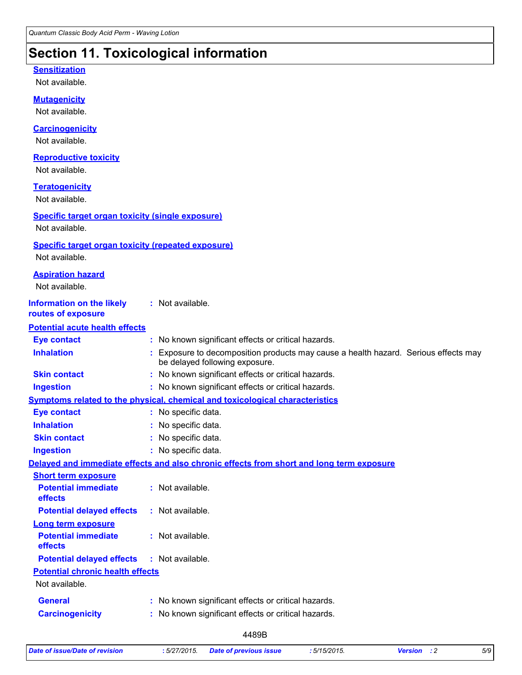### **Section 11. Toxicological information**

#### **Sensitization**

Not available.

#### **Mutagenicity**

Not available.

#### **Carcinogenicity**

Not available.

#### **Reproductive toxicity**

Not available.

#### **Teratogenicity**

Not available.

#### **Specific target organ toxicity (single exposure)**

Not available.

#### **Specific target organ toxicity (repeated exposure)**

Not available.

#### **Aspiration hazard**

Not available.

#### **Information on the likely :** Not available.

#### **routes of exposure**

#### **Potential acute health effects**

| Eye contact                                  | : No known significant effects or critical hazards.                                                                 |
|----------------------------------------------|---------------------------------------------------------------------------------------------------------------------|
| <b>Inhalation</b>                            | Exposure to decomposition products may cause a health hazard. Serious effects may<br>be delayed following exposure. |
| <b>Skin contact</b>                          | : No known significant effects or critical hazards.                                                                 |
| <b>Ingestion</b>                             | : No known significant effects or critical hazards.                                                                 |
|                                              | <b>Symptoms related to the physical, chemical and toxicological characteristics</b>                                 |
| <b>Eye contact</b>                           | : No specific data.                                                                                                 |
| <b>Inhalation</b>                            | : No specific data.                                                                                                 |
| <b>Skin contact</b>                          | : No specific data.                                                                                                 |
| <b>Ingestion</b>                             | : No specific data.                                                                                                 |
|                                              | Delayed and immediate effects and also chronic effects from short and long term exposure                            |
| <b>Short term exposure</b>                   |                                                                                                                     |
| <b>Potential immediate</b><br>effects        | : Not available.                                                                                                    |
| <b>Potential delayed effects</b>             | : Not available.                                                                                                    |
| <b>Long term exposure</b>                    |                                                                                                                     |
| <b>Potential immediate</b><br><b>effects</b> | : Not available.                                                                                                    |
| <b>Potential delayed effects</b>             | : Not available.                                                                                                    |
| <b>Potential chronic health effects</b>      |                                                                                                                     |
| Not available.                               |                                                                                                                     |
| <b>General</b>                               | : No known significant effects or critical hazards.                                                                 |
| <b>Carcinogenicity</b>                       | : No known significant effects or critical hazards.                                                                 |
|                                              | $\lambda$                                                                                                           |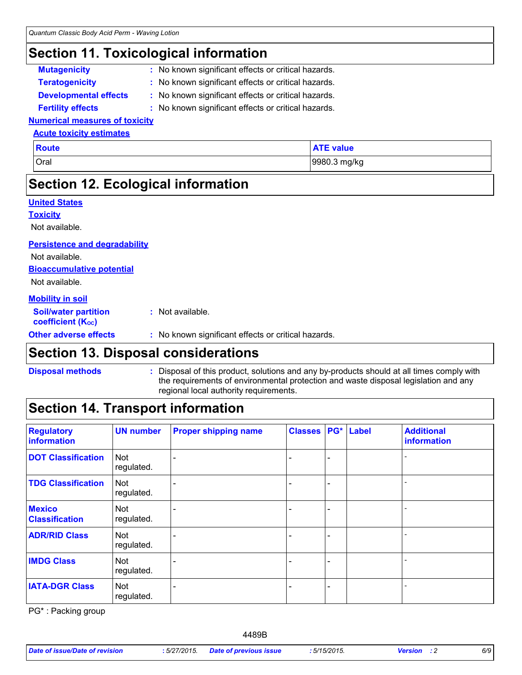### **Section 11. Toxicological information**

- **Mutagenicity :** No known significant effects or critical hazards.
- **Teratogenicity :** No known significant effects or critical hazards.
- 
- **Developmental effects :** No known significant effects or critical hazards.
- 
- **Fertility effects :** No known significant effects or critical hazards.

#### **Numerical measures of toxicity Acute toxicity estimates**

| <b>Route</b> | <b>ATE value</b> |
|--------------|------------------|
| Oral         | 9980.3 mg/kg     |

### **Section 12. Ecological information**

| <b>United States</b>                                    |                                                     |
|---------------------------------------------------------|-----------------------------------------------------|
| <b>Toxicity</b>                                         |                                                     |
| Not available.                                          |                                                     |
| <b>Persistence and degradability</b>                    |                                                     |
| Not available.                                          |                                                     |
| <b>Bioaccumulative potential</b>                        |                                                     |
| Not available.                                          |                                                     |
| <b>Mobility in soil</b>                                 |                                                     |
| <b>Soil/water partition</b><br><b>coefficient (Koc)</b> | $:$ Not available.                                  |
| <b>Other adverse effects</b>                            | : No known significant effects or critical hazards. |
|                                                         |                                                     |

### **Section 13. Disposal considerations**

#### **Disposal methods :**

#### Disposal of this product, solutions and any by-products should at all times comply with the requirements of environmental protection and waste disposal legislation and any regional local authority requirements.

### **Section 14. Transport information**

| <b>Regulatory</b><br>information       | <b>UN number</b>         | <b>Proper shipping name</b> | <b>Classes</b> |                              | PG* Label | <b>Additional</b><br>information |
|----------------------------------------|--------------------------|-----------------------------|----------------|------------------------------|-----------|----------------------------------|
| <b>DOT Classification</b>              | <b>Not</b><br>regulated. |                             |                | $\overline{\phantom{0}}$     |           |                                  |
| <b>TDG Classification</b>              | <b>Not</b><br>regulated. |                             |                | $\overline{\phantom{0}}$     |           |                                  |
| <b>Mexico</b><br><b>Classification</b> | Not<br>regulated.        |                             |                | $\qquad \qquad \blacksquare$ |           |                                  |
| <b>ADR/RID Class</b>                   | <b>Not</b><br>regulated. |                             |                | $\overline{\phantom{0}}$     |           |                                  |
| <b>IMDG Class</b>                      | <b>Not</b><br>regulated. |                             |                | $\overline{\phantom{0}}$     |           |                                  |
| <b>IATA-DGR Class</b>                  | <b>Not</b><br>regulated. |                             |                | -                            |           |                                  |

PG\* : Packing group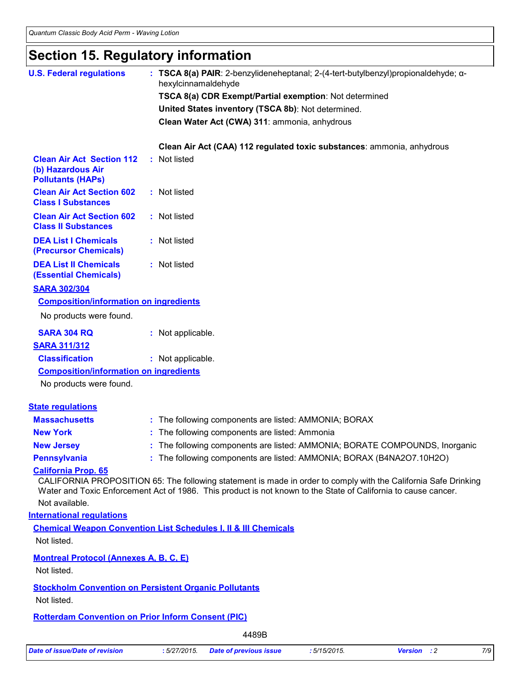### **Section 15. Regulatory information**

| <b>U.S. Federal regulations</b>                                             | : TSCA $8(a)$ PAIR: 2-benzylideneheptanal; 2-(4-tert-butylbenzyl)propionaldehyde; $\alpha$ -<br>hexylcinnamaldehyde                                                                                                               |
|-----------------------------------------------------------------------------|-----------------------------------------------------------------------------------------------------------------------------------------------------------------------------------------------------------------------------------|
|                                                                             | TSCA 8(a) CDR Exempt/Partial exemption: Not determined                                                                                                                                                                            |
|                                                                             | United States inventory (TSCA 8b): Not determined.                                                                                                                                                                                |
|                                                                             | Clean Water Act (CWA) 311: ammonia, anhydrous                                                                                                                                                                                     |
|                                                                             |                                                                                                                                                                                                                                   |
|                                                                             | Clean Air Act (CAA) 112 regulated toxic substances: ammonia, anhydrous                                                                                                                                                            |
| <b>Clean Air Act Section 112</b>                                            | : Not listed                                                                                                                                                                                                                      |
| (b) Hazardous Air<br><b>Pollutants (HAPs)</b>                               |                                                                                                                                                                                                                                   |
| <b>Clean Air Act Section 602</b><br><b>Class I Substances</b>               | : Not listed                                                                                                                                                                                                                      |
| <b>Clean Air Act Section 602</b><br><b>Class II Substances</b>              | : Not listed                                                                                                                                                                                                                      |
| <b>DEA List I Chemicals</b><br>(Precursor Chemicals)                        | : Not listed                                                                                                                                                                                                                      |
| <b>DEA List II Chemicals</b><br><b>(Essential Chemicals)</b>                | : Not listed                                                                                                                                                                                                                      |
| <b>SARA 302/304</b>                                                         |                                                                                                                                                                                                                                   |
| <b>Composition/information on ingredients</b>                               |                                                                                                                                                                                                                                   |
| No products were found.                                                     |                                                                                                                                                                                                                                   |
| <b>SARA 304 RQ</b>                                                          | : Not applicable.                                                                                                                                                                                                                 |
| <b>SARA 311/312</b>                                                         |                                                                                                                                                                                                                                   |
| <b>Classification</b>                                                       | : Not applicable.                                                                                                                                                                                                                 |
| <b>Composition/information on ingredients</b>                               |                                                                                                                                                                                                                                   |
| No products were found.                                                     |                                                                                                                                                                                                                                   |
| <b>State regulations</b>                                                    |                                                                                                                                                                                                                                   |
| <b>Massachusetts</b>                                                        | : The following components are listed: AMMONIA; BORAX                                                                                                                                                                             |
| <b>New York</b>                                                             | : The following components are listed: Ammonia                                                                                                                                                                                    |
| <b>New Jersey</b>                                                           | : The following components are listed: AMMONIA; BORATE COMPOUNDS, Inorganic                                                                                                                                                       |
| <b>Pennsylvania</b>                                                         | : The following components are listed: AMMONIA; BORAX (B4NA2O7.10H2O)                                                                                                                                                             |
| <b>California Prop. 65</b><br>Not available.                                | CALIFORNIA PROPOSITION 65: The following statement is made in order to comply with the California Safe Drinking<br>Water and Toxic Enforcement Act of 1986. This product is not known to the State of California to cause cancer. |
| <b>International requlations</b>                                            |                                                                                                                                                                                                                                   |
| Not listed.                                                                 | <b>Chemical Weapon Convention List Schedules I, II &amp; III Chemicals</b>                                                                                                                                                        |
|                                                                             |                                                                                                                                                                                                                                   |
| <b>Montreal Protocol (Annexes A, B, C, E)</b><br>Not listed.                |                                                                                                                                                                                                                                   |
| <b>Stockholm Convention on Persistent Organic Pollutants</b><br>Not listed. |                                                                                                                                                                                                                                   |
| <b>Rotterdam Convention on Prior Inform Consent (PIC)</b>                   |                                                                                                                                                                                                                                   |
|                                                                             | 4489B                                                                                                                                                                                                                             |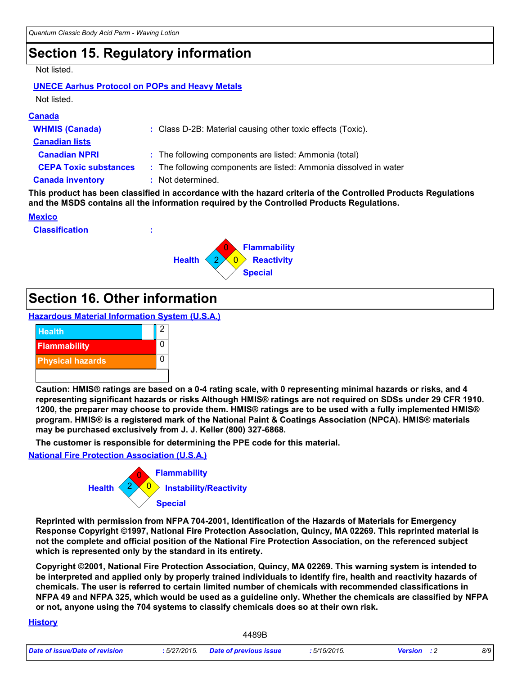### **Section 15. Regulatory information**

#### Not listed.

#### **UNECE Aarhus Protocol on POPs and Heavy Metals** Not listed.

#### **Canada**

| : Class D-2B: Material causing other toxic effects (Toxic).       |
|-------------------------------------------------------------------|
|                                                                   |
| : The following components are listed: Ammonia (total)            |
| : The following components are listed: Ammonia dissolved in water |
| : Not determined.                                                 |
|                                                                   |

**This product has been classified in accordance with the hazard criteria of the Controlled Products Regulations and the MSDS contains all the information required by the Controlled Products Regulations.**

#### **Mexico**

**Classification :**



### **Section 16. Other information**

**Hazardous Material Information System (U.S.A.)**



**Caution: HMIS® ratings are based on a 0-4 rating scale, with 0 representing minimal hazards or risks, and 4 representing significant hazards or risks Although HMIS® ratings are not required on SDSs under 29 CFR 1910. 1200, the preparer may choose to provide them. HMIS® ratings are to be used with a fully implemented HMIS® program. HMIS® is a registered mark of the National Paint & Coatings Association (NPCA). HMIS® materials may be purchased exclusively from J. J. Keller (800) 327-6868.**

**The customer is responsible for determining the PPE code for this material.**

#### **National Fire Protection Association (U.S.A.)**



**Reprinted with permission from NFPA 704-2001, Identification of the Hazards of Materials for Emergency Response Copyright ©1997, National Fire Protection Association, Quincy, MA 02269. This reprinted material is not the complete and official position of the National Fire Protection Association, on the referenced subject which is represented only by the standard in its entirety.**

**Copyright ©2001, National Fire Protection Association, Quincy, MA 02269. This warning system is intended to be interpreted and applied only by properly trained individuals to identify fire, health and reactivity hazards of chemicals. The user is referred to certain limited number of chemicals with recommended classifications in NFPA 49 and NFPA 325, which would be used as a guideline only. Whether the chemicals are classified by NFPA or not, anyone using the 704 systems to classify chemicals does so at their own risk.**

#### **History**

| Date of issue/Date of revision | 5/27/2015. | Date of previous issue | .5/15/2015. | Version | 8/9 |
|--------------------------------|------------|------------------------|-------------|---------|-----|